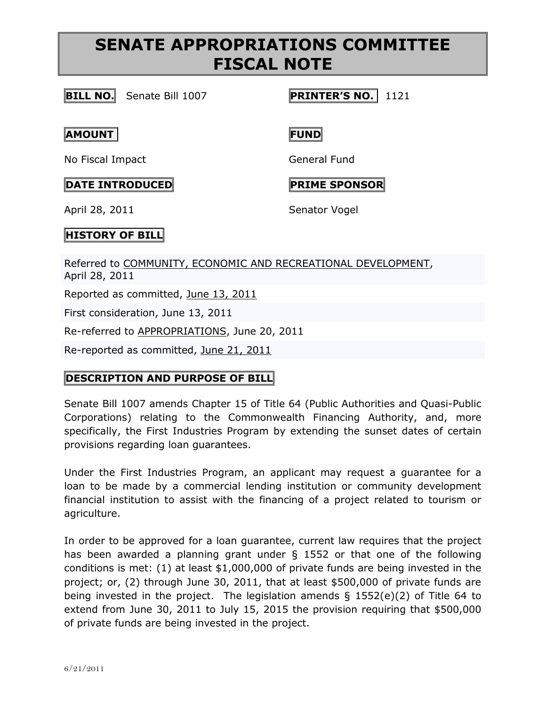# **SENATE APPROPRIATIONS COMMITTEE FISCAL NOTE**

### **BILL NO.** Senate Bill 1007 **PRINTER'S NO.** 1121

### **AMOUNT FUND**

No Fiscal Impact General Fund

### **DATE INTRODUCED PRIME SPONSOR**

April 28, 2011 Senator Vogel

## **HISTORY OF BILL**

Referred to [COMMUNITY, ECONOMIC AND RECREATIONAL DEVELOPMENT,](http://www.legis.state.pa.us/cfdocs/cteeInfo/cteeInfo.cfm?cde=31&body=S) April 28, 2011

Reported as committed, June 13, [2011](http://www.legis.state.pa.us/cfdocs/legis/RCC/PUBLIC/listVotes.cfm?sYear=2011&sInd=0&chamber=S&cteeCde=31&nbr=1007&bBody=S&type=B&theDate=06/13/2011)

First consideration, June 13, 2011

Re-referred to [APPROPRIATIONS,](http://www.legis.state.pa.us/cfdocs/cteeInfo/cteeInfo.cfm?cde=3&body=S) June 20, 2011

Re-reported as committed, June 21, [2011](http://www.legis.state.pa.us/cfdocs/legis/RCC/PUBLIC/listVotes.cfm?sYear=2011&sInd=0&chamber=S&cteeCde=3&nbr=1007&bBody=S&type=B&theDate=06/21/2011)

## **DESCRIPTION AND PURPOSE OF BILL**

Senate Bill 1007 amends Chapter 15 of Title 64 (Public Authorities and Quasi-Public Corporations) relating to the Commonwealth Financing Authority, and, more specifically, the First Industries Program by extending the sunset dates of certain provisions regarding loan guarantees.

Under the First Industries Program, an applicant may request a guarantee for a loan to be made by a commercial lending institution or community development financial institution to assist with the financing of a project related to tourism or agriculture.

In order to be approved for a loan guarantee, current law requires that the project has been awarded a planning grant under § 1552 or that one of the following conditions is met: (1) at least \$1,000,000 of private funds are being invested in the project; or, (2) through June 30, 2011, that at least \$500,000 of private funds are being invested in the project. The legislation amends § 1552(e)(2) of Title 64 to extend from June 30, 2011 to July 15, 2015 the provision requiring that \$500,000 of private funds are being invested in the project.